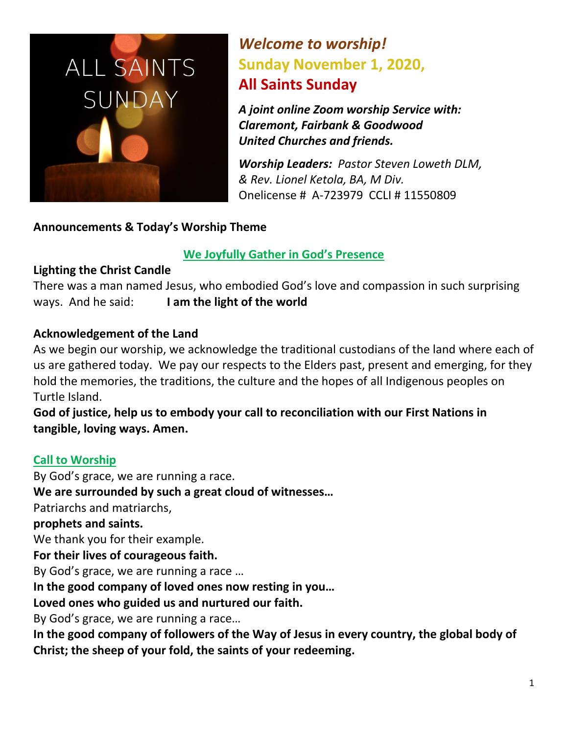

# *Welcome to worship!* **Sunday November 1, 2020, All Saints Sunday**

*A joint online Zoom worship Service with: Claremont, Fairbank & Goodwood United Churches and friends.* 

*Worship Leaders: Pastor Steven Loweth DLM, & Rev. Lionel Ketola, BA, M Div.*  Onelicense # A-723979 CCLI # 11550809

# **Announcements & Today's Worship Theme**

# **We Joyfully Gather in God's Presence**

# **Lighting the Christ Candle**

There was a man named Jesus, who embodied God's love and compassion in such surprising ways. And he said: **I am the light of the world** 

# **Acknowledgement of the Land**

As we begin our worship, we acknowledge the traditional custodians of the land where each of us are gathered today. We pay our respects to the Elders past, present and emerging, for they hold the memories, the traditions, the culture and the hopes of all Indigenous peoples on Turtle Island.

**God of justice, help us to embody your call to reconciliation with our First Nations in tangible, loving ways. Amen.** 

# **Call to Worship**

By God's grace, we are running a race. **We are surrounded by such a great cloud of witnesses…** Patriarchs and matriarchs, **prophets and saints.** We thank you for their example. **For their lives of courageous faith.**  By God's grace, we are running a race … **In the good company of loved ones now resting in you… Loved ones who guided us and nurtured our faith.**  By God's grace, we are running a race… **In the good company of followers of the Way of Jesus in every country, the global body of Christ; the sheep of your fold, the saints of your redeeming.**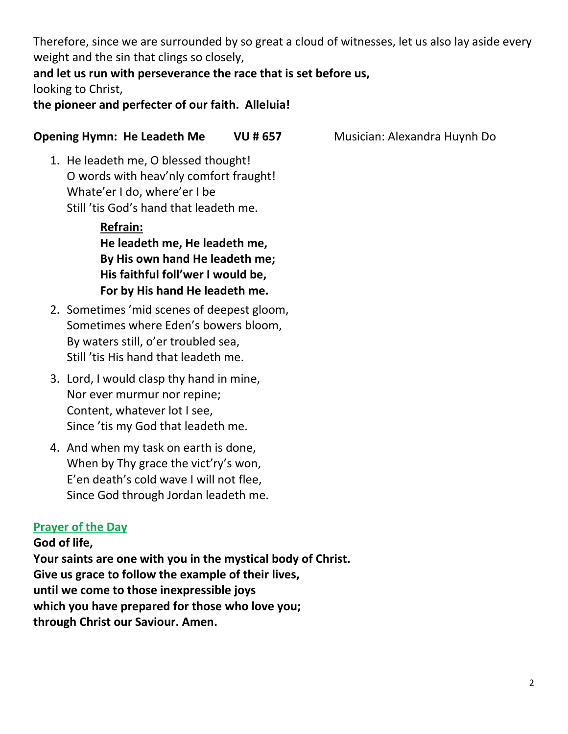Therefore, since we are surrounded by so great a cloud of witnesses, let us also lay aside every weight and the sin that clings so closely,

# **and let us run with perseverance the race that is set before us,** looking to Christ,

**the pioneer and perfecter of our faith. Alleluia!**

# **Opening Hymn: He Leadeth Me VU # 657** Musician: Alexandra Huynh Do

1. He leadeth me, O blessed thought! O words with heav'nly comfort fraught! Whate'er I do, where'er I be Still 'tis God's hand that leadeth me.

> **Refrain: He leadeth me, He leadeth me, By His own hand He leadeth me; His faithful foll'wer I would be, For by His hand He leadeth me.**

- 2. Sometimes 'mid scenes of deepest gloom, Sometimes where Eden's bowers bloom, By waters still, o'er troubled sea, Still 'tis His hand that leadeth me.
- 3. Lord, I would clasp thy hand in mine, Nor ever murmur nor repine; Content, whatever lot I see, Since 'tis my God that leadeth me.
- 4. And when my task on earth is done, When by Thy grace the vict'ry's won, E'en death's cold wave I will not flee, Since God through Jordan leadeth me.

# **Prayer of the Day**

**God of life, Your saints are one with you in the mystical body of Christ. Give us grace to follow the example of their lives, until we come to those inexpressible joys which you have prepared for those who love you; through Christ our Saviour. Amen.**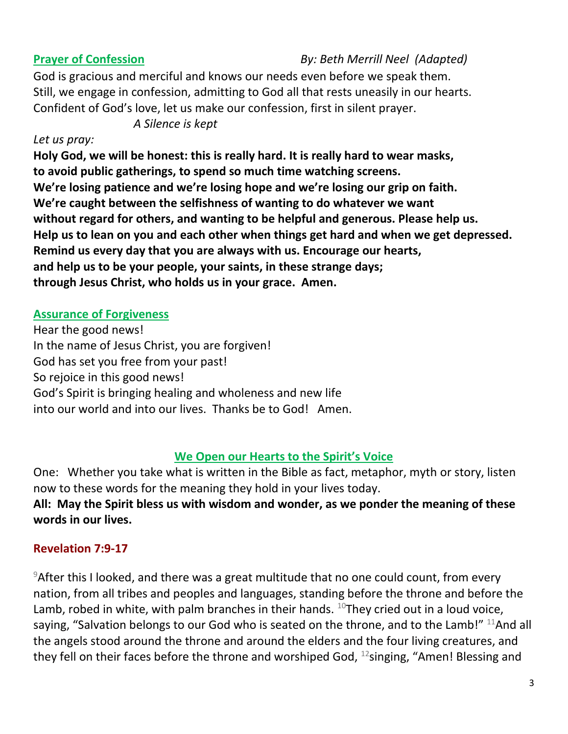# **Prayer of Confession** *By: Beth Merrill Neel (Adapted)*

God is gracious and merciful and knows our needs even before we speak them. Still, we engage in confession, admitting to God all that rests uneasily in our hearts. Confident of God's love, let us make our confession, first in silent prayer.

*A Silence is kept*

### *Let us pray:*

**Holy God, we will be honest: this is really hard. It is really hard to wear masks, to avoid public gatherings, to spend so much time watching screens. We're losing patience and we're losing hope and we're losing our grip on faith. We're caught between the selfishness of wanting to do whatever we want without regard for others, and wanting to be helpful and generous. Please help us. Help us to lean on you and each other when things get hard and when we get depressed. Remind us every day that you are always with us. Encourage our hearts, and help us to be your people, your saints, in these strange days; through Jesus Christ, who holds us in your grace. Amen.** 

# **Assurance of Forgiveness**

Hear the good news! In the name of Jesus Christ, you are forgiven! God has set you free from your past! So rejoice in this good news! God's Spirit is bringing healing and wholeness and new life into our world and into our lives. Thanks be to God! Amen.

# **We Open our Hearts to the Spirit's Voice**

One: Whether you take what is written in the Bible as fact, metaphor, myth or story, listen now to these words for the meaning they hold in your lives today. **All: May the Spirit bless us with wisdom and wonder, as we ponder the meaning of these words in our lives.**

# **Revelation 7:9-17**

 $9$ After this I looked, and there was a great multitude that no one could count, from every nation, from all tribes and peoples and languages, standing before the throne and before the Lamb, robed in white, with palm branches in their hands.  $^{10}$ They cried out in a loud voice, saying, "Salvation belongs to our God who is seated on the throne, and to the Lamb!"  $^{11}$ And all the angels stood around the throne and around the elders and the four living creatures, and they fell on their faces before the throne and worshiped God,  $^{12}$ singing, "Amen! Blessing and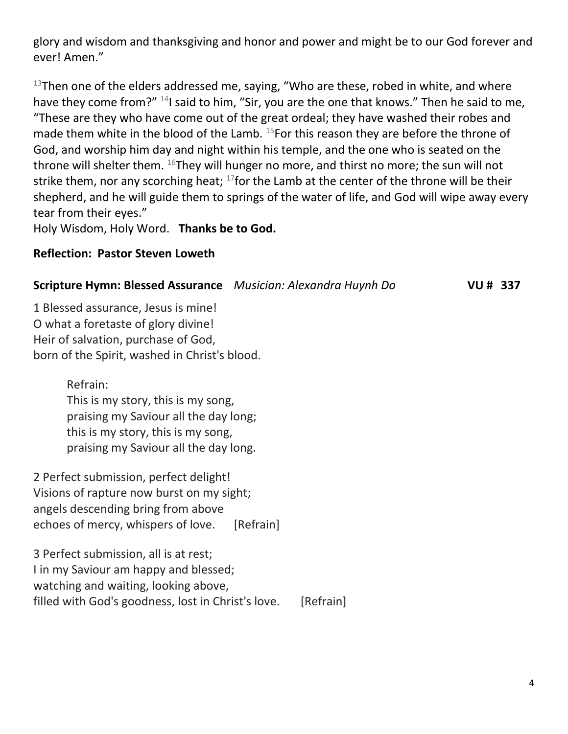glory and wisdom and thanksgiving and honor and power and might be to our God forever and ever! Amen."

 $13$ Then one of the elders addressed me, saying, "Who are these, robed in white, and where have they come from?" <sup>14</sup>I said to him, "Sir, you are the one that knows." Then he said to me, "These are they who have come out of the great ordeal; they have washed their robes and made them white in the blood of the Lamb.  $^{15}$ For this reason they are before the throne of God, and worship him day and night within his temple, and the one who is seated on the throne will shelter them.  $^{16}$ They will hunger no more, and thirst no more; the sun will not strike them, nor any scorching heat;  $^{17}$  for the Lamb at the center of the throne will be their shepherd, and he will guide them to springs of the water of life, and God will wipe away every tear from their eyes."

Holy Wisdom, Holy Word. **Thanks be to God.** 

#### **Reflection: Pastor Steven Loweth**

# **Scripture Hymn: Blessed Assurance** Musician: Alexandra Huynh Do *VU # 337*

1 Blessed assurance, Jesus is mine! O what a foretaste of glory divine! Heir of salvation, purchase of God, born of the Spirit, washed in Christ's blood.

Refrain:

This is my story, this is my song, praising my Saviour all the day long; this is my story, this is my song, praising my Saviour all the day long.

2 Perfect submission, perfect delight! Visions of rapture now burst on my sight; angels descending bring from above echoes of mercy, whispers of love. [Refrain]

3 Perfect submission, all is at rest; I in my Saviour am happy and blessed; watching and waiting, looking above, filled with God's goodness, lost in Christ's love. [Refrain]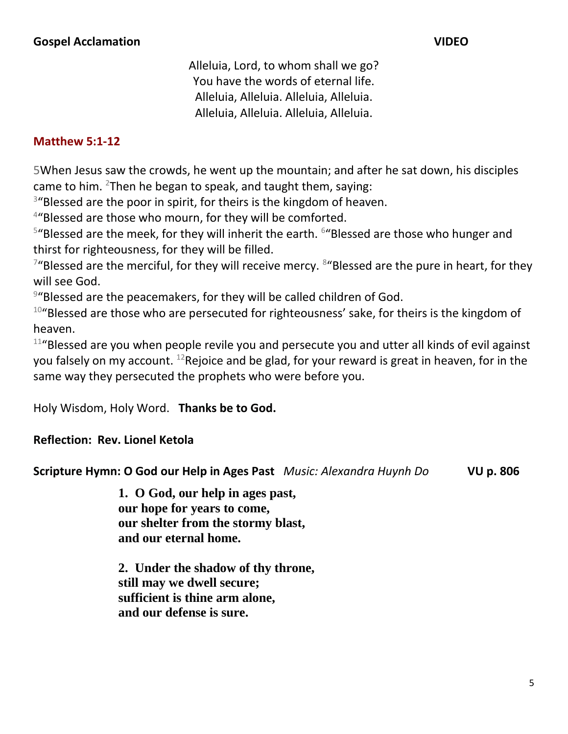Alleluia, Lord, to whom shall we go? You have the words of eternal life. Alleluia, Alleluia. Alleluia, Alleluia. Alleluia, Alleluia. Alleluia, Alleluia.

#### **Matthew 5:1-12**

5When Jesus saw the crowds, he went up the mountain; and after he sat down, his disciples came to him.  $2$ Then he began to speak, and taught them, saying:

 $3^{\prime\prime}$ Blessed are the poor in spirit, for theirs is the kingdom of heaven.

<sup>4</sup>"Blessed are those who mourn, for they will be comforted.

<sup>5</sup>"Blessed are the meek, for they will inherit the earth. <sup>6</sup>"Blessed are those who hunger and thirst for righteousness, for they will be filled.

 $7$ "Blessed are the merciful, for they will receive mercy.  $8$ "Blessed are the pure in heart, for they will see God.

<sup>9</sup>"Blessed are the peacemakers, for they will be called children of God.

 $10^{\circ}$ Blessed are those who are persecuted for righteousness' sake, for theirs is the kingdom of heaven.

<sup>11</sup>"Blessed are you when people revile you and persecute you and utter all kinds of evil against you falsely on my account. <sup>12</sup>Rejoice and be glad, for your reward is great in heaven, for in the same way they persecuted the prophets who were before you.

Holy Wisdom, Holy Word. **Thanks be to God.** 

#### **Reflection: Rev. Lionel Ketola**

**Scripture Hymn: O God our Help in Ages Past** *Music: Alexandra Huynh Do* **VU p. 806**

**1. O God, our help in ages past, our hope for years to come, our shelter from the stormy blast, and our eternal home.**

**2. Under the shadow of thy throne, still may we dwell secure; sufficient is thine arm alone, and our defense is sure.**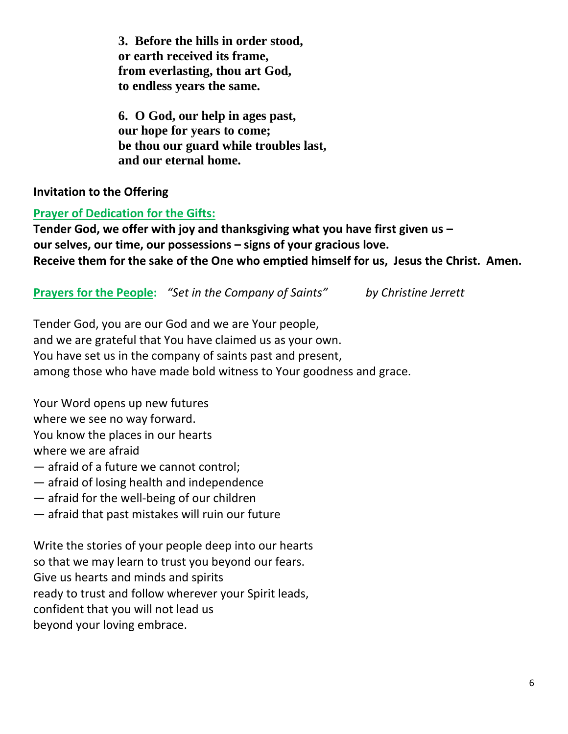**3. Before the hills in order stood, or earth received its frame, from everlasting, thou art God, to endless years the same.**

**6. O God, our help in ages past, our hope for years to come; be thou our guard while troubles last, and our eternal home.** 

# **Invitation to the Offering**

# **Prayer of Dedication for the Gifts:**

**Tender God, we offer with joy and thanksgiving what you have first given us – our selves, our time, our possessions – signs of your gracious love. Receive them for the sake of the One who emptied himself for us, Jesus the Christ. Amen.** 

**Prayers for the People:** *"Set in the Company of Saints"**by Christine Jerrett*

Tender God, you are our God and we are Your people, and we are grateful that You have claimed us as your own. You have set us in the company of saints past and present, among those who have made bold witness to Your goodness and grace.

Your Word opens up new futures where we see no way forward. You know the places in our hearts where we are afraid

- afraid of a future we cannot control;
- afraid of losing health and independence
- afraid for the well-being of our children
- afraid that past mistakes will ruin our future

Write the stories of your people deep into our hearts so that we may learn to trust you beyond our fears. Give us hearts and minds and spirits ready to trust and follow wherever your Spirit leads, confident that you will not lead us beyond your loving embrace.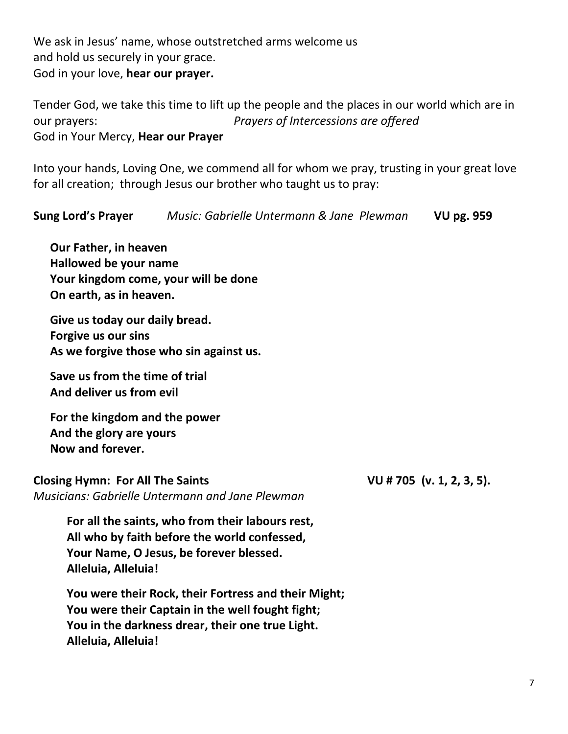We ask in Jesus' name, whose outstretched arms welcome us and hold us securely in your grace. God in your love, **hear our prayer.** 

Tender God, we take this time to lift up the people and the places in our world which are in our prayers: *Prayers of Intercessions are offered* God in Your Mercy, **Hear our Prayer**

Into your hands, Loving One, we commend all for whom we pray, trusting in your great love for all creation; through Jesus our brother who taught us to pray:

**Sung Lord's Prayer** *Music: Gabrielle Untermann & Jane Plewman* **VU pg. 959 Our Father, in heaven Hallowed be your name Your kingdom come, your will be done On earth, as in heaven. Give us today our daily bread. Forgive us our sins As we forgive those who sin against us. Save us from the time of trial And deliver us from evil For the kingdom and the power And the glory are yours Now and forever. Closing Hymn: For All The Saints VU # 705 (v. 1, 2, 3, 5).**  *Musicians: Gabrielle Untermann and Jane Plewman* **For all the saints, who from their labours rest, All who by faith before the world confessed, Your Name, O Jesus, be forever blessed. Alleluia, Alleluia! You were their Rock, their Fortress and their Might; You were their Captain in the well fought fight; You in the darkness drear, their one true Light.**

**Alleluia, Alleluia!**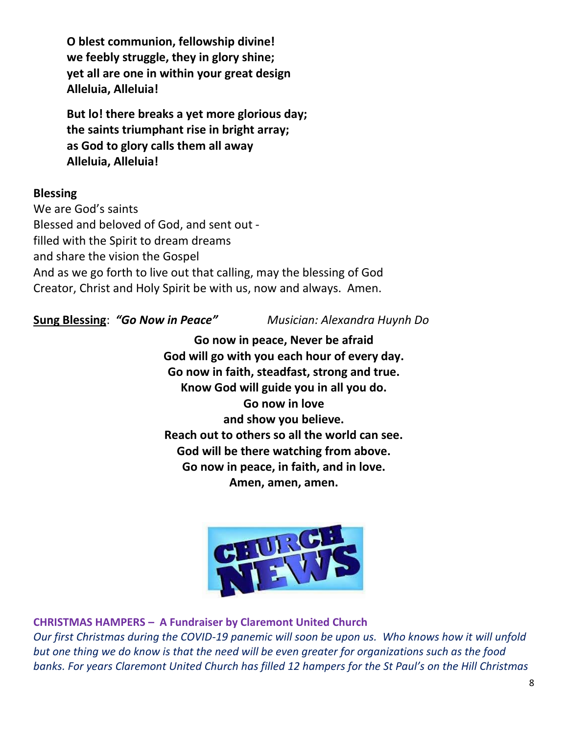**O blest communion, fellowship divine! we feebly struggle, they in glory shine; yet all are one in within your great design Alleluia, Alleluia!** 

**But lo! there breaks a yet more glorious day; the saints triumphant rise in bright array; as God to glory calls them all away Alleluia, Alleluia!**

### **Blessing**

We are God's saints Blessed and beloved of God, and sent out filled with the Spirit to dream dreams and share the vision the Gospel And as we go forth to live out that calling, may the blessing of God Creator, Christ and Holy Spirit be with us, now and always. Amen.

**Sung Blessing**: *"Go Now in Peace" Musician: Alexandra Huynh Do*

**Go now in peace, Never be afraid God will go with you each hour of every day. Go now in faith, steadfast, strong and true. Know God will guide you in all you do. Go now in love and show you believe. Reach out to others so all the world can see. God will be there watching from above. Go now in peace, in faith, and in love. Amen, amen, amen.**



**CHRISTMAS HAMPERS – A Fundraiser by Claremont United Church** 

*Our first Christmas during the COVID-19 panemic will soon be upon us. Who knows how it will unfold but one thing we do know is that the need will be even greater for organizations such as the food banks. For years Claremont United Church has filled 12 hampers for the St Paul's on the Hill Christmas*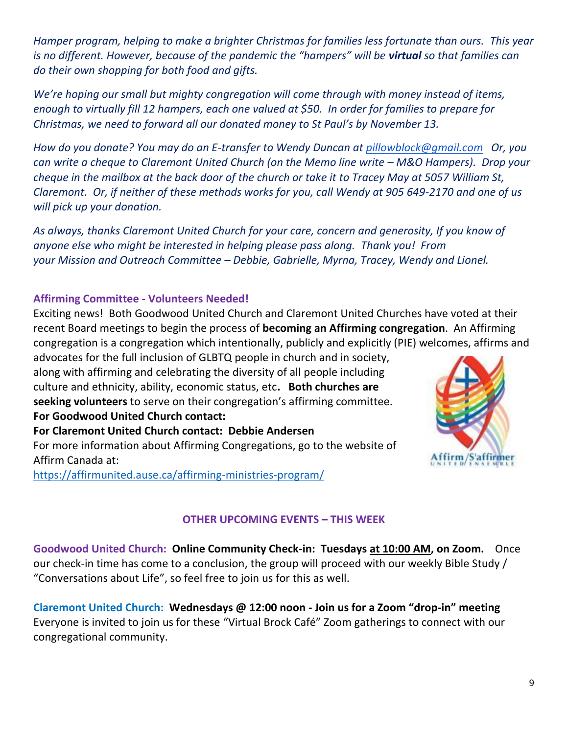*Hamper program, helping to make a brighter Christmas for families less fortunate than ours. This year is no different. However, because of the pandemic the "hampers" will be virtual so that families can do their own shopping for both food and gifts.*

*We're hoping our small but mighty congregation will come through with money instead of items, enough to virtually fill 12 hampers, each one valued at \$50. In order for families to prepare for Christmas, we need to forward all our donated money to St Paul's by November 13.*

*How do you donate? You may do an E-transfer to Wendy Duncan at [pillowblock@gmail.com](mailto:pillowblock@gmail.com) Or, you can write a cheque to Claremont United Church (on the Memo line write – M&O Hampers). Drop your cheque in the mailbox at the back door of the church or take it to Tracey May at 5057 William St, Claremont. Or, if neither of these methods works for you, call Wendy at 905 649-2170 and one of us will pick up your donation.*

*As always, thanks Claremont United Church for your care, concern and generosity, If you know of anyone else who might be interested in helping please pass along. Thank you! From your Mission and Outreach Committee – Debbie, Gabrielle, Myrna, Tracey, Wendy and Lionel.* 

#### **Affirming Committee - Volunteers Needed!**

Exciting news! Both Goodwood United Church and Claremont United Churches have voted at their recent Board meetings to begin the process of **becoming an Affirming congregation**. An Affirming congregation is a congregation which intentionally, publicly and explicitly (PIE) welcomes, affirms and

advocates for the full inclusion of GLBTQ people in church and in society, along with affirming and celebrating the diversity of all people including culture and ethnicity, ability, economic status, etc**. Both churches are seeking volunteers** to serve on their congregation's affirming committee. **For Goodwood United Church contact:** 

**For Claremont United Church contact: Debbie Andersen**  For more information about Affirming Congregations, go to the website of Affirm Canada at:

<https://affirmunited.ause.ca/affirming-ministries-program/>



### **OTHER UPCOMING EVENTS – THIS WEEK**

**Goodwood United Church: Online Community Check-in: Tuesdays at 10:00 AM, on Zoom.** Once our check-in time has come to a conclusion, the group will proceed with our weekly Bible Study / "Conversations about Life", so feel free to join us for this as well.

**Claremont United Church: Wednesdays @ 12:00 noon - Join us for a Zoom "drop-in" meeting**  Everyone is invited to join us for these "Virtual Brock Café" Zoom gatherings to connect with our congregational community.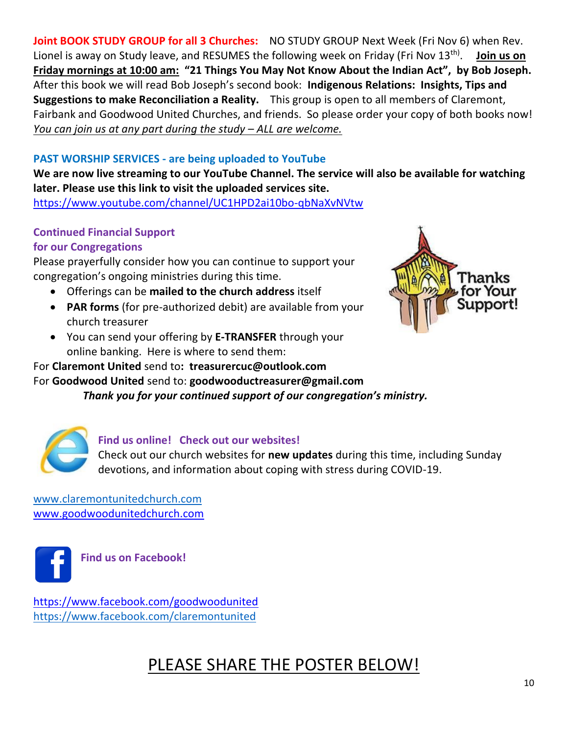**Joint BOOK STUDY GROUP for all 3 Churches:** NO STUDY GROUP Next Week (Fri Nov 6) when Rev. Lionel is away on Study leave, and RESUMES the following week on Friday (Fri Nov 13<sup>th)</sup>. Ioin us on **Friday mornings at 10:00 am: "21 Things You May Not Know About the Indian Act", by Bob Joseph.** After this book we will read Bob Joseph's second book: **Indigenous Relations: Insights, Tips and Suggestions to make Reconciliation a Reality.** This group is open to all members of Claremont, Fairbank and Goodwood United Churches, and friends. So please order your copy of both books now! *You can join us at any part during the study – ALL are welcome.* 

# **PAST WORSHIP SERVICES - are being uploaded to YouTube**

**We are now live streaming to our YouTube Channel. The service will also be available for watching later. Please use this link to visit the uploaded services site.** 

[https://www.youtube.com/channel/UC1HPD2ai10bo-qbNaXvNVtw](about:blank)

# **Continued Financial Support**

# **for our Congregations**

Please prayerfully consider how you can continue to support your congregation's ongoing ministries during this time.

- Offerings can be **mailed to the church address** itself
- **PAR forms** (for pre-authorized debit) are available from your church treasurer
- You can send your offering by **E-TRANSFER** through your online banking. Here is where to send them:

# For **Claremont United** send to**: treasurercuc@outlook.com**

For **Goodwood United** send to: **[goodwooductreasurer@gmail.com](about:blank)**

*Thank you for your continued support of our congregation's ministry.*



#### **Find us online! Check out our websites!**

Check out our church websites for **new updates** during this time, including Sunday devotions, and information about coping with stress during COVID-19.

[www.claremontunitedchurch.com](about:blank) [www.goodwoodunitedchurch.com](about:blank)



**Find us on Facebook!** 

[https://www.facebook.com/goodwoodunited](about:blank) [https://www.facebook.com/claremontunited](about:blank)

# PLEASE SHARE THE POSTER BELOW!